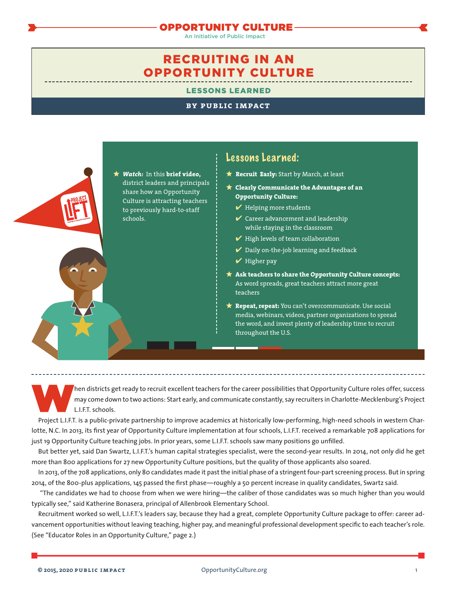### OPPORTUNITY CULTURE

An Initiative of Public Impact

# RECRUITING IN AN OPPORTUNITY CULTURE

LESSONS LEARNED

### **by public impact**



## Lessons Learned:

- **? Recruit Early:** Start by March, at least
- **? Clearly Communicate the Advantages of an Opportunity Culture:**
	- $\blacktriangleright$  Helping more students
	- $\vee$  Career advancement and leadership while staying in the classroom
	- $\blacktriangleright$  High levels of team collaboration
	- $\boldsymbol{\checkmark}$  Daily on-the-job learning and feedback
	- $\blacktriangleright$  Higher pay
- **? Ask teachers to share the Opportunity Culture concepts:** As word spreads, great teachers attract more great teachers
- **? Repeat, repeat:** You can't overcommunicate. Use social media, webinars, videos, partner organizations to spread the word, and invest plenty of leadership time to recruit throughout the U.S.

 $\hbar$ en districts get ready to recruit excellent teachers for the career possibilities that Opportunity Culture roles offer, success may come down to two actions: Start early, and communicate constantly, say recruiters in Charlotte-Mecklenburg's Project L.I.F.T. schools.

Project L.I.F.T. is a public-private partnership to improve academics at historically low-performing, high-need schools in western Charlotte, N.C. In 2013, its first year of Opportunity Culture implementation at four schools, L.I.F.T. received a remarkable 708 applications for just 19 Opportunity Culture teaching jobs. In prior years, some L.I.F.T. schools saw many positions go unfilled.

But better yet, said Dan Swartz, L.I.F.T.'s human capital strategies specialist, were the second-year results. In 2014, not only did he get more than 800 applications for 27 new Opportunity Culture positions, but the quality of those applicants also soared.

In 2013, of the 708 applications, only 80 candidates made it past the initial phase of a stringent four-part screening process. But in spring 2014, of the 800-plus applications, 145 passed the first phase—roughly a 50 percent increase in quality candidates, Swartz said.

"The candidates we had to choose from when we were hiring—the caliber of those candidates was so much higher than you would typically see," said Katherine Bonasera, principal of Allenbrook Elementary School.

Recruitment worked so well, L.I.F.T.'s leaders say, because they had a great, complete Opportunity Culture package to offer: career advancement opportunities without leaving teaching, higher pay, and meaningful professional development specific to each teacher's role. (See "Educator Roles in an Opportunity Culture," page 2.)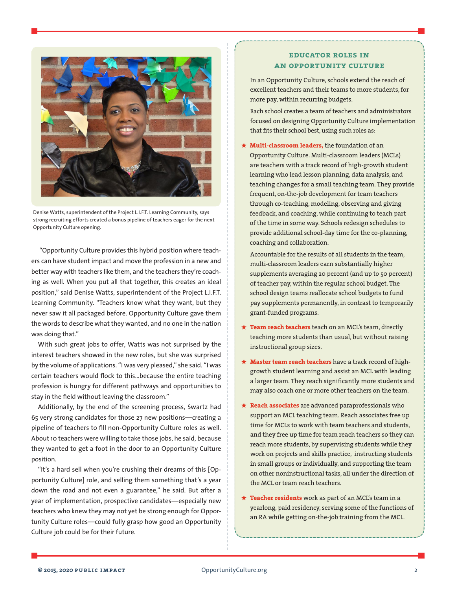

Denise Watts, superintendent of the Project L.I.F.T. Learning Community, says strong recruiting efforts created a bonus pipeline of teachers eager for the next Opportunity Culture opening.

"Opportunity Culture provides this hybrid position where teachers can have student impact and move the profession in a new and better way with teachers like them, and the teachers they're coaching as well. When you put all that together, this creates an ideal position," said Denise Watts, superintendent of the Project L.I.F.T. Learning Community. "Teachers know what they want, but they never saw it all packaged before. Opportunity Culture gave them the words to describe what they wanted, and no one in the nation was doing that."

With such great jobs to offer, Watts was not surprised by the interest teachers showed in the new roles, but she was surprised by the volume of applications. "I was very pleased," she said. "I was certain teachers would flock to this…because the entire teaching profession is hungry for different pathways and opportunities to stay in the field without leaving the classroom."

Additionally, by the end of the screening process, Swartz had 65 very strong candidates for those 27 new positions—creating a pipeline of teachers to fill non-Opportunity Culture roles as well. About 10 teachers were willing to take those jobs, he said, because they wanted to get a foot in the door to an Opportunity Culture position.

"It's a hard sell when you're crushing their dreams of this [Opportunity Culture] role, and selling them something that's a year down the road and not even a guarantee," he said. But after a year of implementation, prospective candidates—especially new teachers who knew they may not yet be strong enough for Opportunity Culture roles—could fully grasp how good an Opportunity Culture job could be for their future.

### **educator roles in an opportunity culture**

In an Opportunity Culture, schools extend the reach of excellent teachers and their teams to more students, for more pay, within recurring budgets.

Each school creates a team of teachers and administrators focused on designing Opportunity Culture implementation that fits their school best, using such roles as:

**? [Multi-classroom leaders,](https://opportunityculture.org/wp-content/uploads/2012/04/Multi-Classroom_Leadership_School_Model-Public_Impact.pdf)** the foundation of an Opportunity Culture. Multi-classroom leaders (MCLs) are teachers with a track record of high-growth student learning who lead lesson planning, data analysis, and teaching changes for a small teaching team. They provide frequent, on-the-job development for team teachers through co-teaching, modeling, observing and giving feedback, and coaching, while continuing to teach part of the time in some way. Schools redesign schedules to provide additional school-day time for the co-planning, coaching and collaboration.

Accountable for the results of all students in the team, multi-classroom leaders earn substantially higher supplements averaging 20 percent (and up to 50 percent) of teacher pay, within the regular school budget. The school design teams reallocate school budgets to fund pay supplements permanently, in contrast to temporarily grant-funded programs.

- **? Team reach teachers** teach on an MCL's team, directly teaching more students than usual, but without raising instructional group sizes.
- **? Master team reach teachers** have a track record of highgrowth student learning and assist an MCL with leading a larger team. They reach significantly more students and may also coach one or more other teachers on the team.
- **? Reach associates** are advanced paraprofessionals who support an MCL teaching team. Reach associates free up time for MCLs to work with team teachers and students, and they free up time for team reach teachers so they can reach more students, by supervising students while they work on projects and skills practice, instructing students in small groups or individually, and supporting the team on other noninstructional tasks, all under the direction of the MCL or team reach teachers.
- **? Teacher residents** work as part of an MCL's team in a yearlong, paid residency, serving some of the functions of an RA while getting on-the-job training from the MCL.